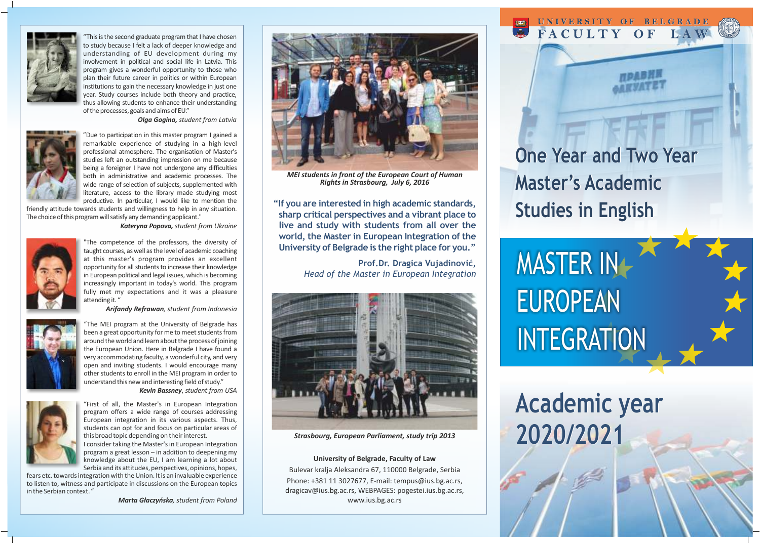

"This is the second graduate program that I have chosen to study because I felt a lack of deeper knowledge and understanding of EU development during my involvement in political and social life in Latvia. This program gives a wonderful opportunity to those who plan their future career in politics or within European institutions to gain the necessary knowledge in just one year. Study courses include both theory and practice, thus allowing students to enhance their understanding of the processes, goals and aims of EU."

*Olga Gogina, student from Latvia*



"Due to participation in this master program I gained a remarkable experience of studying in a high-level professional atmosphere. The organisation of Master's studies left an outstanding impression on me because being a foreigner I have not undergone any difficulties both in administrative and academic processes. The wide range of selection of subjects, supplemented with literature, access to the library made studying most productive. In particular, I would like to mention the

friendly attitude towards students and willingness to help in any situation. The choice of this program will satisfy any demanding applicant."

 *Kateryna Popova, student from Ukraine*



"The competence of the professors, the diversity of taught courses, as well as the level of academic coaching at this master's program provides an excellent opportunity for all students to increase their knowledge in European political and legal issues, which is becoming increasingly important in today's world. This program fully met my expectations and it was a pleasure attending it. "

 *Arifandy Refrawan, student from Indonesia*



"The MEI program at the University of Belgrade has been a great opportunity for me to meet students from around the world and learn about the process of joining the European Union. Here in Belgrade I have found a very accommodating faculty, a wonderful city, and very open and inviting students. I would encourage many other students to enroll in the MEI program in order to understand this new and interesting field of study."

*Kevin Bassney*, *student from USA*



"First of all, the Master's in European Integration program offers a wide range of courses addressing European integration in its various aspects. Thus, students can opt for and focus on particular areas of

I consider taking the Master's in European Integration program a great lesson – in addition to deepening my knowledge about the EU, I am learning a lot about

fears etc. towards integration with the Union. It is an invaluable experience in the Serbian context. "



this broad topic depending on their interest.

Serbia and its attitudes, perspectives, opinions, hopes,

to listen to, witness and participate in discussions on the European topics

*Marta Głaczyńska, student from Poland*



*MEI students in front of the European Court of Human Rights in Strasbourg, July 6, 2016*

**"If you are interested in high academic standards, sharp critical perspectives and a vibrant place to live and study with students from all over the world, the Master in European Integration of the University of Belgrade is the right place for you."**

> **Prof.Dr. Dragica Vujadinović,**  *Head of the Master in European Integration*



*Strasbourg, European Parliament, study trip 2013*

**University of Belgrade, Faculty of Law** Bulevar kralja Aleksandra 67, 110000 Belgrade, Serbia Phone: +381 11 3027677, E-mail: tempus@ius.bg.ac.rs, dragicav@ius.bg.ac.rs, WEBPAGES: pogestei.ius.bg.ac.rs, www.ius.bg.ac.rs

**One Year and Two Year One Year and Two Year Master's Academic Master's Studies in English Studies in English**

UNIVERSITY OF BELGRADE FACULTY OF LAW

MASTER IN EUROPEAN **INTEGRATION** 

# **Academic year Academic year 2020/2021 2020/2021**